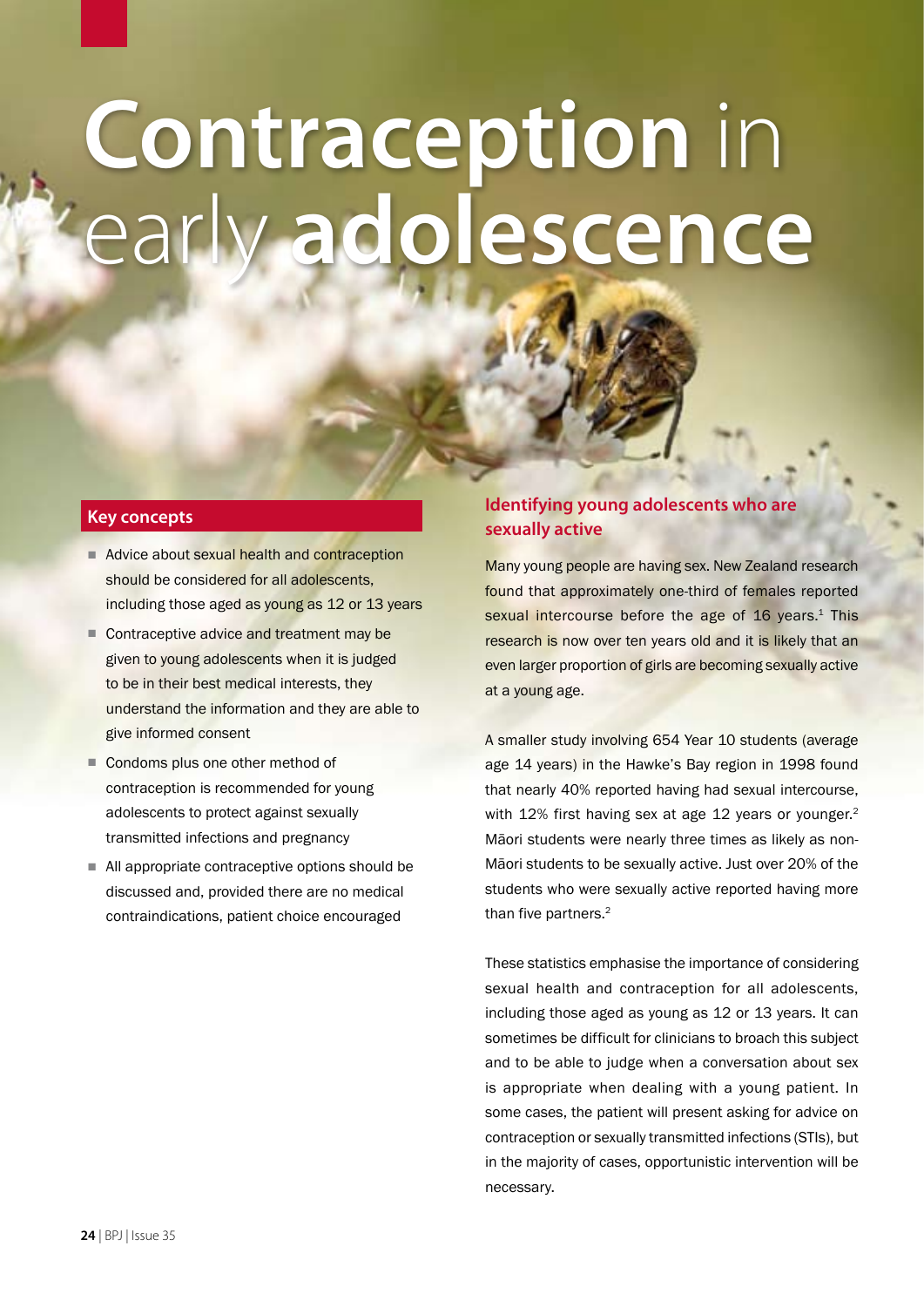# **Contraception** in early **adolescence**

## **Key concepts**

- Advice about sexual health and contraception should be considered for all adolescents, including those aged as young as 12 or 13 years
- Contraceptive advice and treatment may be given to young adolescents when it is judged to be in their best medical interests, they understand the information and they are able to give informed consent
- Condoms plus one other method of contraception is recommended for young adolescents to protect against sexually transmitted infections and pregnancy
- All appropriate contraceptive options should be discussed and, provided there are no medical contraindications, patient choice encouraged

# **Identifying young adolescents who are sexually active**

Many young people are having sex. New Zealand research found that approximately one-third of females reported sexual intercourse before the age of 16 years.<sup>1</sup> This research is now over ten years old and it is likely that an even larger proportion of girls are becoming sexually active at a young age.

A smaller study involving 654 Year 10 students (average age 14 years) in the Hawke's Bay region in 1998 found that nearly 40% reported having had sexual intercourse, with 12% first having sex at age 12 years or younger.<sup>2</sup> Māori students were nearly three times as likely as non-Māori students to be sexually active. Just over 20% of the students who were sexually active reported having more than five partners.<sup>2</sup>

These statistics emphasise the importance of considering sexual health and contraception for all adolescents, including those aged as young as 12 or 13 years. It can sometimes be difficult for clinicians to broach this subject and to be able to judge when a conversation about sex is appropriate when dealing with a young patient. In some cases, the patient will present asking for advice on contraception or sexually transmitted infections (STIs), but in the majority of cases, opportunistic intervention will be necessary.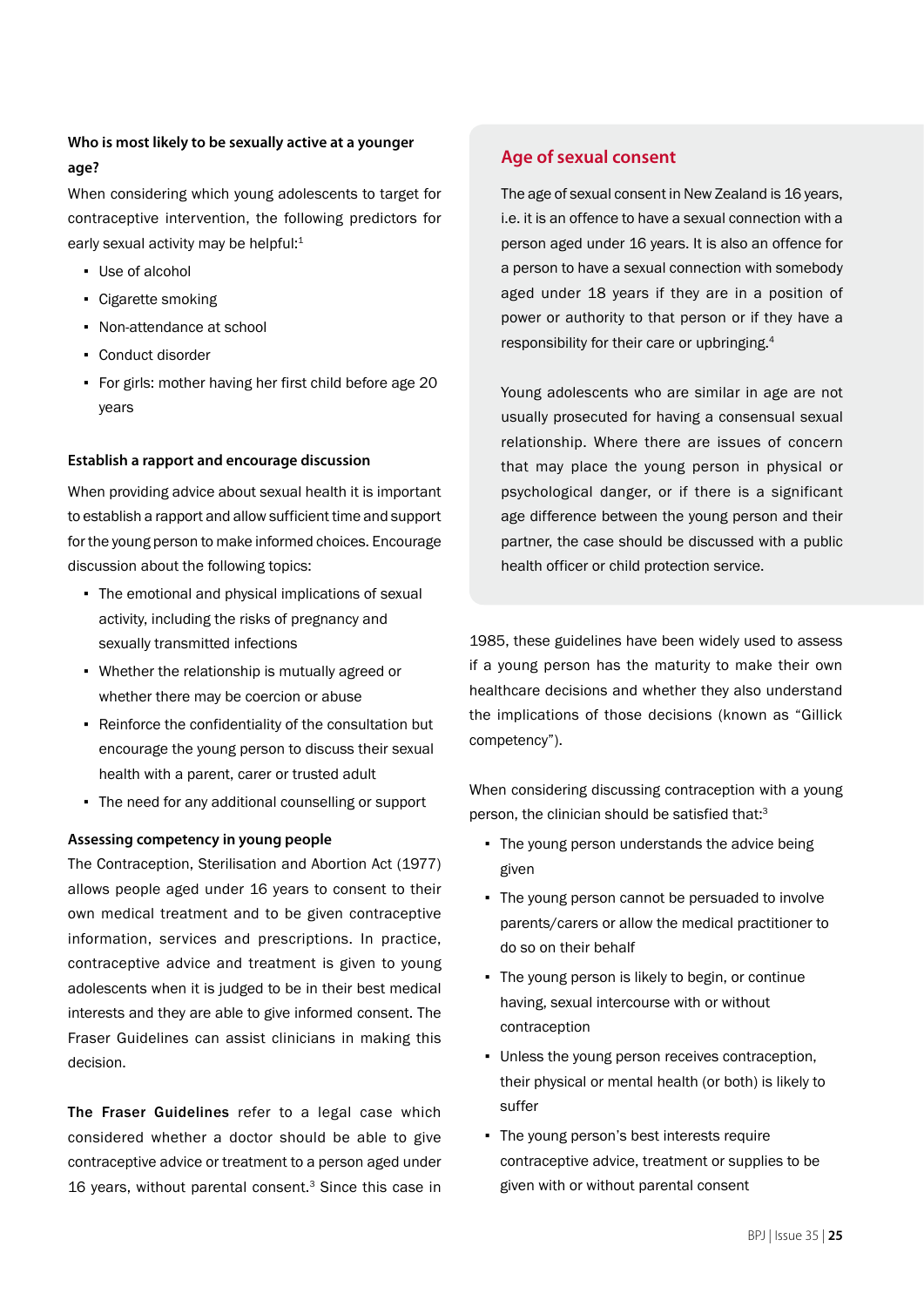# **Who is most likely to be sexually active at a younger age?**

When considering which young adolescents to target for contraceptive intervention, the following predictors for early sexual activity may be helpful:<sup>1</sup>

- Use of alcohol
- Cigarette smoking
- Non-attendance at school
- Conduct disorder
- For girls: mother having her first child before age 20 years

## **Establish a rapport and encourage discussion**

When providing advice about sexual health it is important to establish a rapport and allow sufficient time and support for the young person to make informed choices. Encourage discussion about the following topics:

- The emotional and physical implications of sexual activity, including the risks of pregnancy and sexually transmitted infections
- Whether the relationship is mutually agreed or whether there may be coercion or abuse
- Reinforce the confidentiality of the consultation but encourage the young person to discuss their sexual health with a parent, carer or trusted adult
- The need for any additional counselling or support

## **Assessing competency in young people**

The Contraception, Sterilisation and Abortion Act (1977) allows people aged under 16 years to consent to their own medical treatment and to be given contraceptive information, services and prescriptions. In practice, contraceptive advice and treatment is given to young adolescents when it is judged to be in their best medical interests and they are able to give informed consent. The Fraser Guidelines can assist clinicians in making this decision.

The Fraser Guidelines refer to a legal case which considered whether a doctor should be able to give contraceptive advice or treatment to a person aged under 16 years, without parental consent.<sup>3</sup> Since this case in

## **Age of sexual consent**

The age of sexual consent in New Zealand is 16 years, i.e. it is an offence to have a sexual connection with a person aged under 16 years. It is also an offence for a person to have a sexual connection with somebody aged under 18 years if they are in a position of power or authority to that person or if they have a responsibility for their care or upbringing.4

Young adolescents who are similar in age are not usually prosecuted for having a consensual sexual relationship. Where there are issues of concern that may place the young person in physical or psychological danger, or if there is a significant age difference between the young person and their partner, the case should be discussed with a public health officer or child protection service.

1985, these guidelines have been widely used to assess if a young person has the maturity to make their own healthcare decisions and whether they also understand the implications of those decisions (known as "Gillick competency").

When considering discussing contraception with a young person, the clinician should be satisfied that:<sup>3</sup>

- The young person understands the advice being given
- The young person cannot be persuaded to involve parents/carers or allow the medical practitioner to do so on their behalf
- **•** The young person is likely to begin, or continue having, sexual intercourse with or without contraception
- Unless the young person receives contraception, their physical or mental health (or both) is likely to suffer
- The young person's best interests require contraceptive advice, treatment or supplies to be given with or without parental consent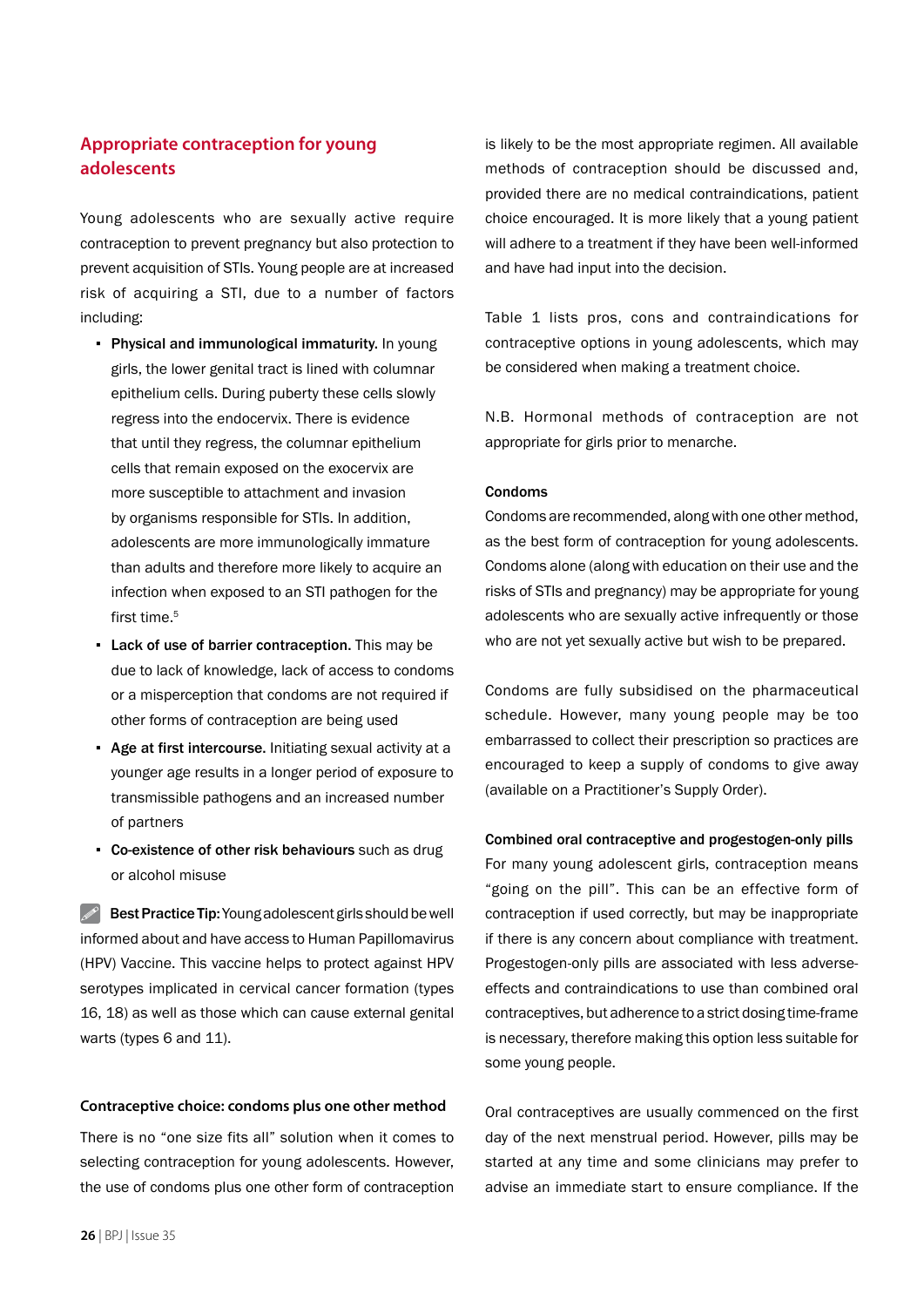# **Appropriate contraception for young adolescents**

Young adolescents who are sexually active require contraception to prevent pregnancy but also protection to prevent acquisition of STIs. Young people are at increased risk of acquiring a STI, due to a number of factors including:

- Physical and immunological immaturity. In young girls, the lower genital tract is lined with columnar epithelium cells. During puberty these cells slowly regress into the endocervix. There is evidence that until they regress, the columnar epithelium cells that remain exposed on the exocervix are more susceptible to attachment and invasion by organisms responsible for STIs. In addition, adolescents are more immunologically immature than adults and therefore more likely to acquire an infection when exposed to an STI pathogen for the first time.<sup>5</sup>
- **Lack of use of barrier contraception.** This may be due to lack of knowledge, lack of access to condoms or a misperception that condoms are not required if other forms of contraception are being used
- Age at first intercourse. Initiating sexual activity at a younger age results in a longer period of exposure to transmissible pathogens and an increased number of partners
- Co-existence of other risk behaviours such as drug or alcohol misuse

 $\mathscr{P}$  Best Practice Tip: Young adolescent girls should be well informed about and have access to Human Papillomavirus (HPV) Vaccine. This vaccine helps to protect against HPV serotypes implicated in cervical cancer formation (types 16, 18) as well as those which can cause external genital warts (types 6 and 11).

#### **Contraceptive choice: condoms plus one other method**

There is no "one size fits all" solution when it comes to selecting contraception for young adolescents. However, the use of condoms plus one other form of contraception

is likely to be the most appropriate regimen. All available methods of contraception should be discussed and, provided there are no medical contraindications, patient choice encouraged. It is more likely that a young patient will adhere to a treatment if they have been well-informed and have had input into the decision.

Table 1 lists pros, cons and contraindications for contraceptive options in young adolescents, which may be considered when making a treatment choice.

N.B. Hormonal methods of contraception are not appropriate for girls prior to menarche.

#### Condoms

Condoms are recommended, along with one other method, as the best form of contraception for young adolescents. Condoms alone (along with education on their use and the risks of STIs and pregnancy) may be appropriate for young adolescents who are sexually active infrequently or those who are not yet sexually active but wish to be prepared.

Condoms are fully subsidised on the pharmaceutical schedule. However, many young people may be too embarrassed to collect their prescription so practices are encouraged to keep a supply of condoms to give away (available on a Practitioner's Supply Order).

Combined oral contraceptive and progestogen-only pills For many young adolescent girls, contraception means "going on the pill". This can be an effective form of contraception if used correctly, but may be inappropriate if there is any concern about compliance with treatment. Progestogen-only pills are associated with less adverseeffects and contraindications to use than combined oral contraceptives, but adherence to a strict dosing time-frame is necessary, therefore making this option less suitable for some young people.

Oral contraceptives are usually commenced on the first day of the next menstrual period. However, pills may be started at any time and some clinicians may prefer to advise an immediate start to ensure compliance. If the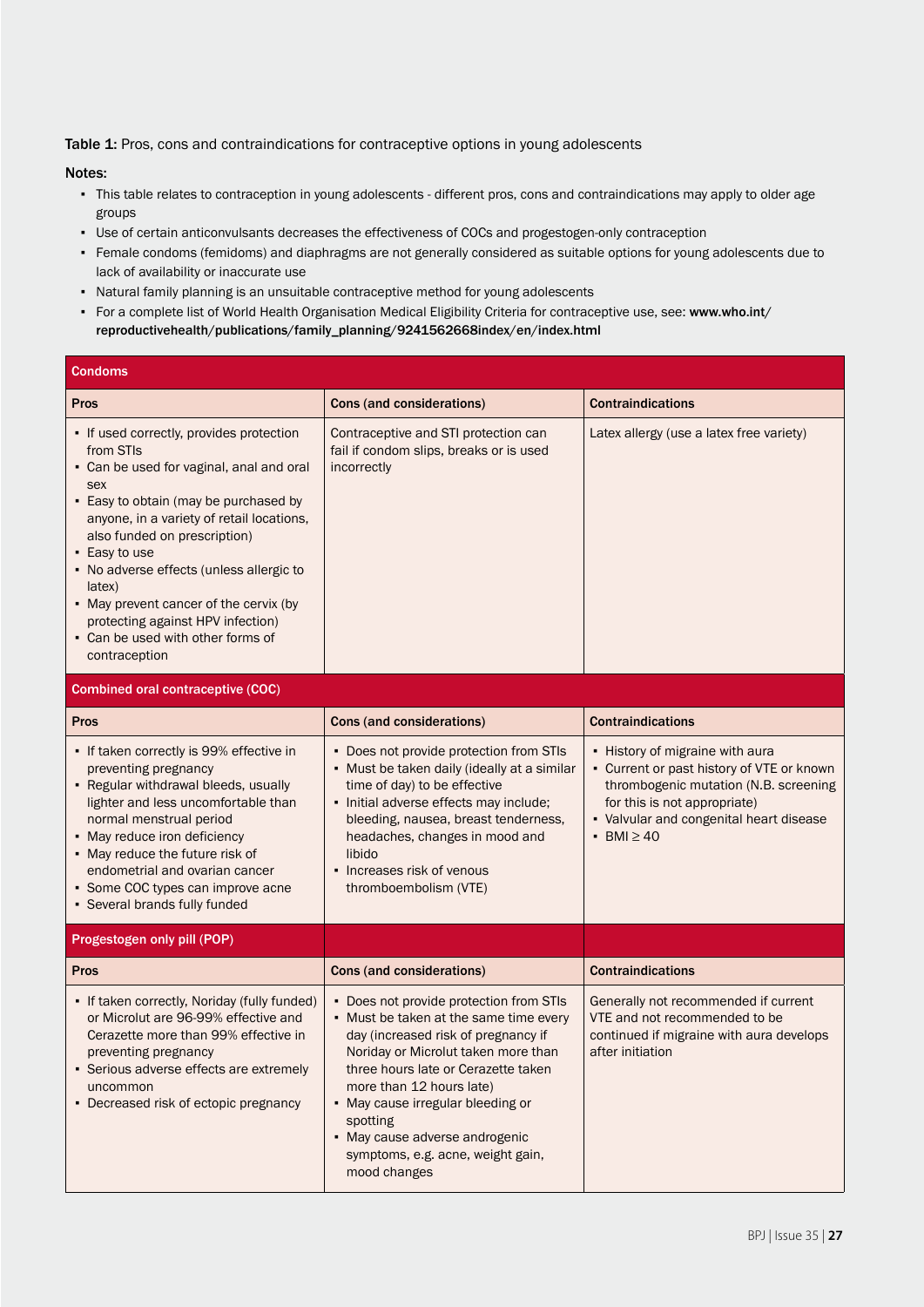Table 1: Pros, cons and contraindications for contraceptive options in young adolescents

#### Notes:

- This table relates to contraception in young adolescents different pros, cons and contraindications may apply to older age groups
- Use of certain anticonvulsants decreases the effectiveness of COCs and progestogen-only contraception
- Female condoms (femidoms) and diaphragms are not generally considered as suitable options for young adolescents due to lack of availability or inaccurate use
- Natural family planning is an unsuitable contraceptive method for young adolescents
- For a complete list of World Health Organisation Medical Eligibility Criteria for contraceptive use, see: www.who.int/ reproductivehealth/publications/family\_planning/9241562668index/en/index.html

| <b>Condoms</b>                                                                                                                                                                                                                                                                                                                                                                                                                             |                                                                                                                                                                                                                                                                                                                                                                            |                                                                                                                                                                                                                    |
|--------------------------------------------------------------------------------------------------------------------------------------------------------------------------------------------------------------------------------------------------------------------------------------------------------------------------------------------------------------------------------------------------------------------------------------------|----------------------------------------------------------------------------------------------------------------------------------------------------------------------------------------------------------------------------------------------------------------------------------------------------------------------------------------------------------------------------|--------------------------------------------------------------------------------------------------------------------------------------------------------------------------------------------------------------------|
| Pros                                                                                                                                                                                                                                                                                                                                                                                                                                       | Cons (and considerations)                                                                                                                                                                                                                                                                                                                                                  | <b>Contraindications</b>                                                                                                                                                                                           |
| • If used correctly, provides protection<br>from STIs<br>• Can be used for vaginal, anal and oral<br>sex<br>• Easy to obtain (may be purchased by<br>anyone, in a variety of retail locations,<br>also funded on prescription)<br>• Easy to use<br>• No adverse effects (unless allergic to<br>latex)<br>• May prevent cancer of the cervix (by<br>protecting against HPV infection)<br>• Can be used with other forms of<br>contraception | Contraceptive and STI protection can<br>fail if condom slips, breaks or is used<br>incorrectly                                                                                                                                                                                                                                                                             | Latex allergy (use a latex free variety)                                                                                                                                                                           |
| <b>Combined oral contraceptive (COC)</b>                                                                                                                                                                                                                                                                                                                                                                                                   |                                                                                                                                                                                                                                                                                                                                                                            |                                                                                                                                                                                                                    |
| <b>Pros</b>                                                                                                                                                                                                                                                                                                                                                                                                                                | Cons (and considerations)                                                                                                                                                                                                                                                                                                                                                  | <b>Contraindications</b>                                                                                                                                                                                           |
| • If taken correctly is 99% effective in<br>preventing pregnancy<br>- Regular withdrawal bleeds, usually<br>lighter and less uncomfortable than<br>normal menstrual period<br>• May reduce iron deficiency<br>• May reduce the future risk of<br>endometrial and ovarian cancer<br>• Some COC types can improve acne<br>• Several brands fully funded                                                                                      | • Does not provide protection from STIs<br>• Must be taken daily (ideally at a similar<br>time of day) to be effective<br>· Initial adverse effects may include;<br>bleeding, nausea, breast tenderness,<br>headaches, changes in mood and<br>libido<br>• Increases risk of venous<br>thromboembolism (VTE)                                                                | • History of migraine with aura<br>• Current or past history of VTE or known<br>thrombogenic mutation (N.B. screening<br>for this is not appropriate)<br>• Valvular and congenital heart disease<br>$-BMI \geq 40$ |
| Progestogen only pill (POP)                                                                                                                                                                                                                                                                                                                                                                                                                |                                                                                                                                                                                                                                                                                                                                                                            |                                                                                                                                                                                                                    |
| <b>Pros</b>                                                                                                                                                                                                                                                                                                                                                                                                                                | Cons (and considerations)                                                                                                                                                                                                                                                                                                                                                  | <b>Contraindications</b>                                                                                                                                                                                           |
| • If taken correctly, Noriday (fully funded)<br>or Microlut are 96-99% effective and<br>Cerazette more than 99% effective in<br>preventing pregnancy<br>• Serious adverse effects are extremely<br>uncommon<br>• Decreased risk of ectopic pregnancy                                                                                                                                                                                       | • Does not provide protection from STIs<br>• Must be taken at the same time every<br>day (increased risk of pregnancy if<br>Noriday or Microlut taken more than<br>three hours late or Cerazette taken<br>more than 12 hours late)<br>• May cause irregular bleeding or<br>spotting<br>• May cause adverse androgenic<br>symptoms, e.g. acne, weight gain,<br>mood changes | Generally not recommended if current<br>VTE and not recommended to be<br>continued if migraine with aura develops<br>after initiation                                                                              |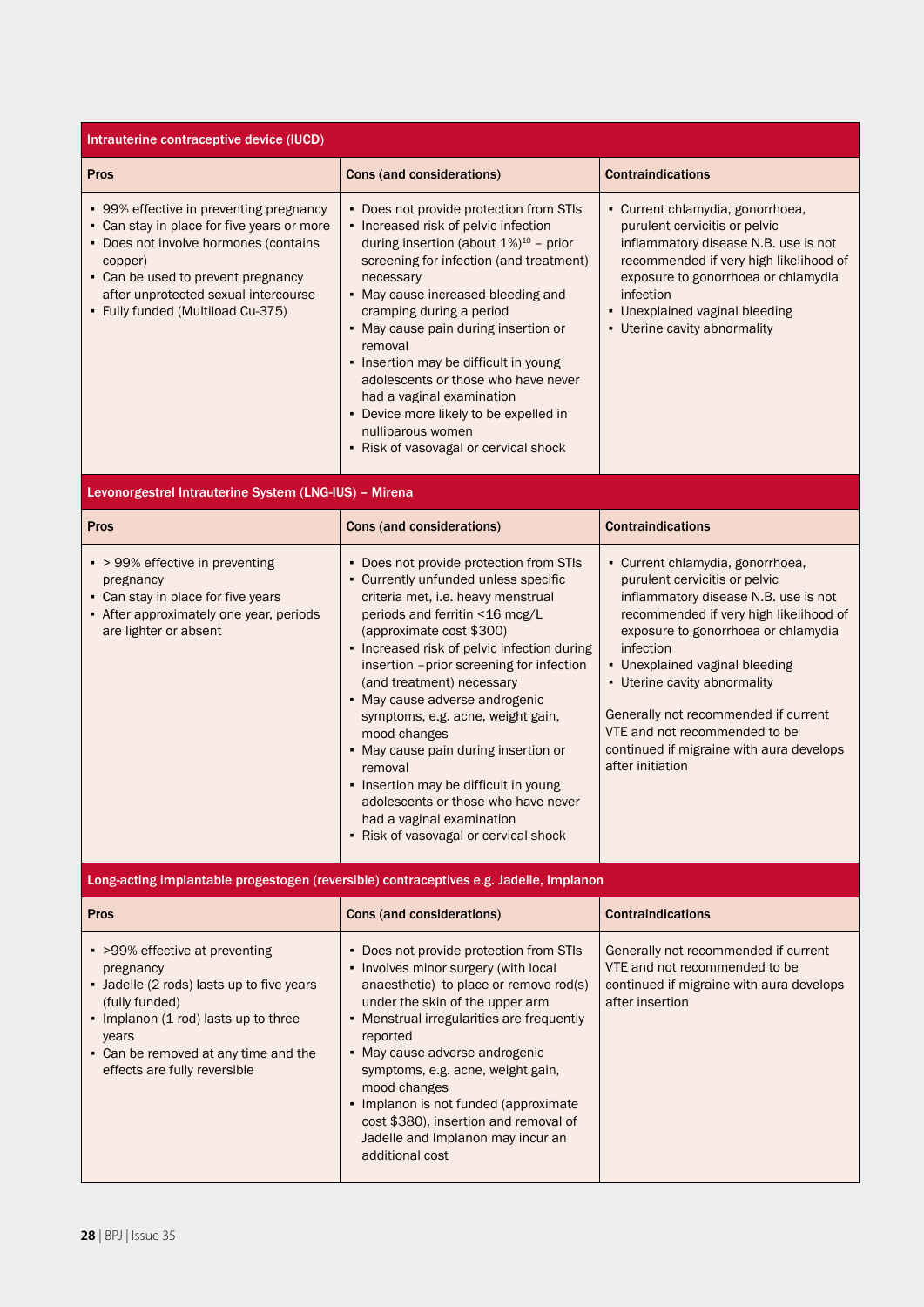| Intrauterine contraceptive device (IUCD)                                                                                                                                                                                                                     |                                                                                                                                                                                                                                                                                                                                                                                                                                                                                                                                                                                                             |                                                                                                                                                                                                                                                                                                                                                                                                                    |  |  |
|--------------------------------------------------------------------------------------------------------------------------------------------------------------------------------------------------------------------------------------------------------------|-------------------------------------------------------------------------------------------------------------------------------------------------------------------------------------------------------------------------------------------------------------------------------------------------------------------------------------------------------------------------------------------------------------------------------------------------------------------------------------------------------------------------------------------------------------------------------------------------------------|--------------------------------------------------------------------------------------------------------------------------------------------------------------------------------------------------------------------------------------------------------------------------------------------------------------------------------------------------------------------------------------------------------------------|--|--|
| <b>Pros</b>                                                                                                                                                                                                                                                  | Cons (and considerations)                                                                                                                                                                                                                                                                                                                                                                                                                                                                                                                                                                                   | <b>Contraindications</b>                                                                                                                                                                                                                                                                                                                                                                                           |  |  |
| • 99% effective in preventing pregnancy<br>- Can stay in place for five years or more<br>• Does not involve hormones (contains<br>copper)<br>• Can be used to prevent pregnancy<br>after unprotected sexual intercourse<br>• Fully funded (Multiload Cu-375) | • Does not provide protection from STIs<br>• Increased risk of pelvic infection<br>during insertion (about $1\%$ ) <sup>10</sup> - prior<br>screening for infection (and treatment)<br>necessary<br>• May cause increased bleeding and<br>cramping during a period<br>• May cause pain during insertion or<br>removal<br>• Insertion may be difficult in young<br>adolescents or those who have never<br>had a vaginal examination<br>• Device more likely to be expelled in<br>nulliparous women<br>• Risk of vasovagal or cervical shock                                                                  | • Current chlamydia, gonorrhoea,<br>purulent cervicitis or pelvic<br>inflammatory disease N.B. use is not<br>recommended if very high likelihood of<br>exposure to gonorrhoea or chlamydia<br>infection<br>• Unexplained vaginal bleeding<br>- Uterine cavity abnormality                                                                                                                                          |  |  |
| Levonorgestrel Intrauterine System (LNG-IUS) - Mirena                                                                                                                                                                                                        |                                                                                                                                                                                                                                                                                                                                                                                                                                                                                                                                                                                                             |                                                                                                                                                                                                                                                                                                                                                                                                                    |  |  |
| Pros                                                                                                                                                                                                                                                         | Cons (and considerations)                                                                                                                                                                                                                                                                                                                                                                                                                                                                                                                                                                                   | <b>Contraindications</b>                                                                                                                                                                                                                                                                                                                                                                                           |  |  |
| • > 99% effective in preventing<br>pregnancy<br>• Can stay in place for five years<br>- After approximately one year, periods<br>are lighter or absent                                                                                                       | • Does not provide protection from STIs<br>• Currently unfunded unless specific<br>criteria met, i.e. heavy menstrual<br>periods and ferritin <16 mcg/L<br>(approximate cost \$300)<br>• Increased risk of pelvic infection during<br>insertion -prior screening for infection<br>(and treatment) necessary<br>• May cause adverse androgenic<br>symptoms, e.g. acne, weight gain,<br>mood changes<br>• May cause pain during insertion or<br>removal<br>- Insertion may be difficult in young<br>adolescents or those who have never<br>had a vaginal examination<br>• Risk of vasovagal or cervical shock | • Current chlamydia, gonorrhoea,<br>purulent cervicitis or pelvic<br>inflammatory disease N.B. use is not<br>recommended if very high likelihood of<br>exposure to gonorrhoea or chlamydia<br>infection<br>• Unexplained vaginal bleeding<br>• Uterine cavity abnormality<br>Generally not recommended if current<br>VTE and not recommended to be<br>continued if migraine with aura develops<br>after initiation |  |  |
|                                                                                                                                                                                                                                                              | Long-acting implantable progestogen (reversible) contraceptives e.g. Jadelle, Implanon                                                                                                                                                                                                                                                                                                                                                                                                                                                                                                                      |                                                                                                                                                                                                                                                                                                                                                                                                                    |  |  |
| <b>Pros</b>                                                                                                                                                                                                                                                  | Cons (and considerations)                                                                                                                                                                                                                                                                                                                                                                                                                                                                                                                                                                                   | <b>Contraindications</b>                                                                                                                                                                                                                                                                                                                                                                                           |  |  |
| • >99% effective at preventing<br>pregnancy<br>• Jadelle (2 rods) lasts up to five years<br>(fully funded)<br>• Implanon (1 rod) lasts up to three<br>years<br>• Can be removed at any time and the<br>effects are fully reversible                          | • Does not provide protection from STIs<br>• Involves minor surgery (with local<br>anaesthetic) to place or remove rod(s)<br>under the skin of the upper arm<br>• Menstrual irregularities are frequently<br>reported<br>• May cause adverse androgenic<br>symptoms, e.g. acne, weight gain,<br>mood changes<br>• Implanon is not funded (approximate<br>cost \$380), insertion and removal of<br>Jadelle and Implanon may incur an<br>additional cost                                                                                                                                                      | Generally not recommended if current<br>VTE and not recommended to be<br>continued if migraine with aura develops<br>after insertion                                                                                                                                                                                                                                                                               |  |  |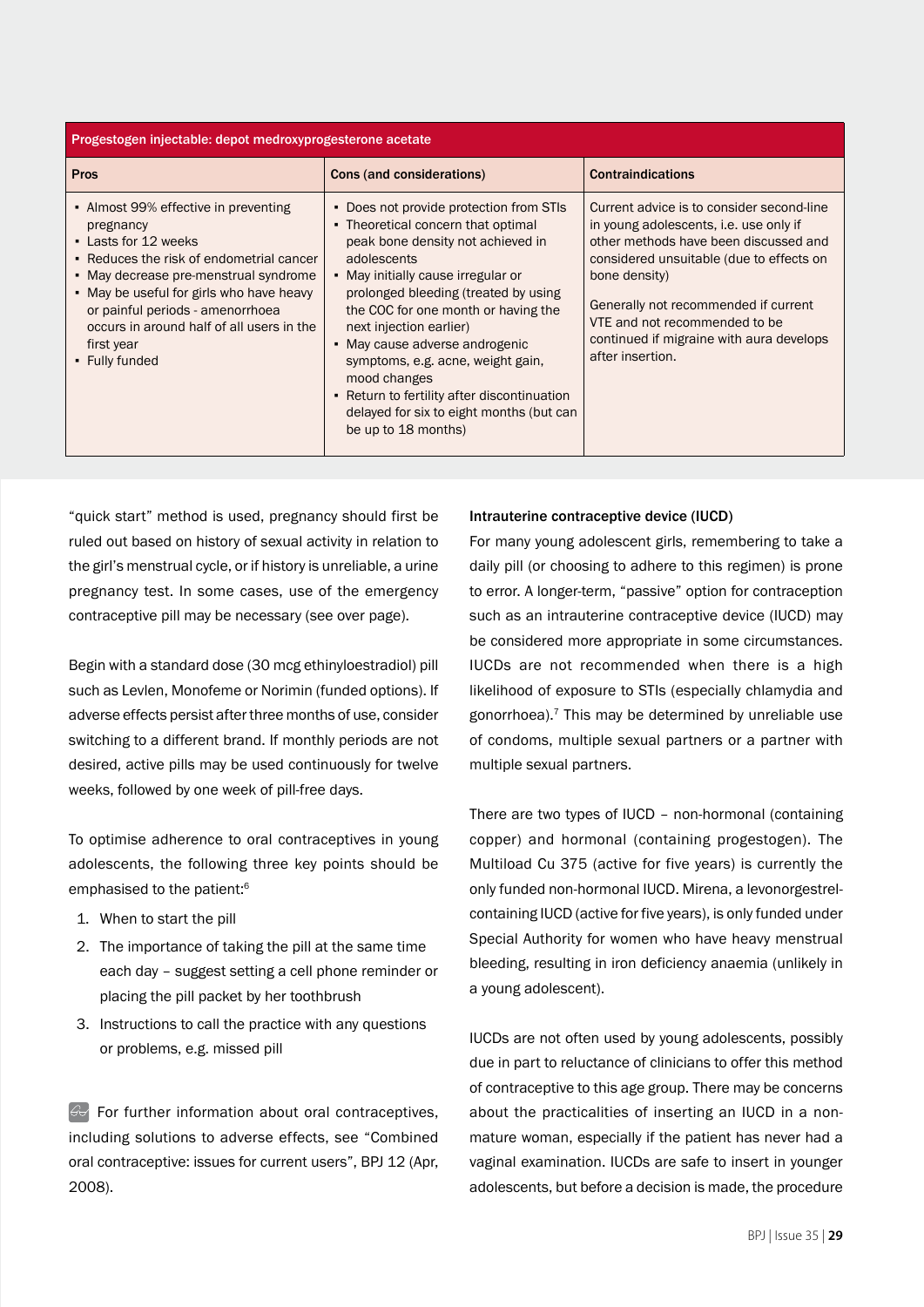| Progestogen injectable: depot medroxyprogesterone acetate                                                                                                                                                                                                                                                                   |                                                                                                                                                                                                                                                                                                                                                                                                                                                                                            |                                                                                                                                                                                                                                                                                                                                    |  |
|-----------------------------------------------------------------------------------------------------------------------------------------------------------------------------------------------------------------------------------------------------------------------------------------------------------------------------|--------------------------------------------------------------------------------------------------------------------------------------------------------------------------------------------------------------------------------------------------------------------------------------------------------------------------------------------------------------------------------------------------------------------------------------------------------------------------------------------|------------------------------------------------------------------------------------------------------------------------------------------------------------------------------------------------------------------------------------------------------------------------------------------------------------------------------------|--|
| Pros                                                                                                                                                                                                                                                                                                                        | Cons (and considerations)                                                                                                                                                                                                                                                                                                                                                                                                                                                                  | <b>Contraindications</b>                                                                                                                                                                                                                                                                                                           |  |
| • Almost 99% effective in preventing<br>pregnancy<br>• Lasts for 12 weeks<br>• Reduces the risk of endometrial cancer<br>• May decrease pre-menstrual syndrome<br>• May be useful for girls who have heavy<br>or painful periods - amenorrhoea<br>occurs in around half of all users in the<br>first year<br>• Fully funded | • Does not provide protection from STIs<br>• Theoretical concern that optimal<br>peak bone density not achieved in<br>adolescents<br>• May initially cause irregular or<br>prolonged bleeding (treated by using<br>the COC for one month or having the<br>next injection earlier)<br>• May cause adverse androgenic<br>symptoms, e.g. acne, weight gain,<br>mood changes<br>• Return to fertility after discontinuation<br>delayed for six to eight months (but can<br>be up to 18 months) | Current advice is to consider second-line<br>in young adolescents, i.e. use only if<br>other methods have been discussed and<br>considered unsuitable (due to effects on<br>bone density)<br>Generally not recommended if current<br>VTE and not recommended to be<br>continued if migraine with aura develops<br>after insertion. |  |

"quick start" method is used, pregnancy should first be ruled out based on history of sexual activity in relation to the girl's menstrual cycle, or if history is unreliable, a urine pregnancy test. In some cases, use of the emergency contraceptive pill may be necessary (see over page).

Begin with a standard dose (30 mcg ethinyloestradiol) pill such as Levlen, Monofeme or Norimin (funded options). If adverse effects persist after three months of use, consider switching to a different brand. If monthly periods are not desired, active pills may be used continuously for twelve weeks, followed by one week of pill-free days.

To optimise adherence to oral contraceptives in young adolescents, the following three key points should be emphasised to the patient:<sup>6</sup>

- 1. When to start the pill
- 2. The importance of taking the pill at the same time each day – suggest setting a cell phone reminder or placing the pill packet by her toothbrush
- 3. Instructions to call the practice with any questions or problems, e.g. missed pill

 $\mathbb{G}$  For further information about oral contraceptives, including solutions to adverse effects, see "Combined oral contraceptive: issues for current users", BPJ 12 (Apr, 2008).

## Intrauterine contraceptive device (IUCD)

For many young adolescent girls, remembering to take a daily pill (or choosing to adhere to this regimen) is prone to error. A longer-term, "passive" option for contraception such as an intrauterine contraceptive device (IUCD) may be considered more appropriate in some circumstances. IUCDs are not recommended when there is a high likelihood of exposure to STIs (especially chlamydia and gonorrhoea).<sup>7</sup> This may be determined by unreliable use of condoms, multiple sexual partners or a partner with multiple sexual partners.

There are two types of IUCD – non-hormonal (containing copper) and hormonal (containing progestogen). The Multiload Cu 375 (active for five years) is currently the only funded non-hormonal IUCD. Mirena, a levonorgestrelcontaining IUCD (active for five years), is only funded under Special Authority for women who have heavy menstrual bleeding, resulting in iron deficiency anaemia (unlikely in a young adolescent).

IUCDs are not often used by young adolescents, possibly due in part to reluctance of clinicians to offer this method of contraceptive to this age group. There may be concerns about the practicalities of inserting an IUCD in a nonmature woman, especially if the patient has never had a vaginal examination. IUCDs are safe to insert in younger adolescents, but before a decision is made, the procedure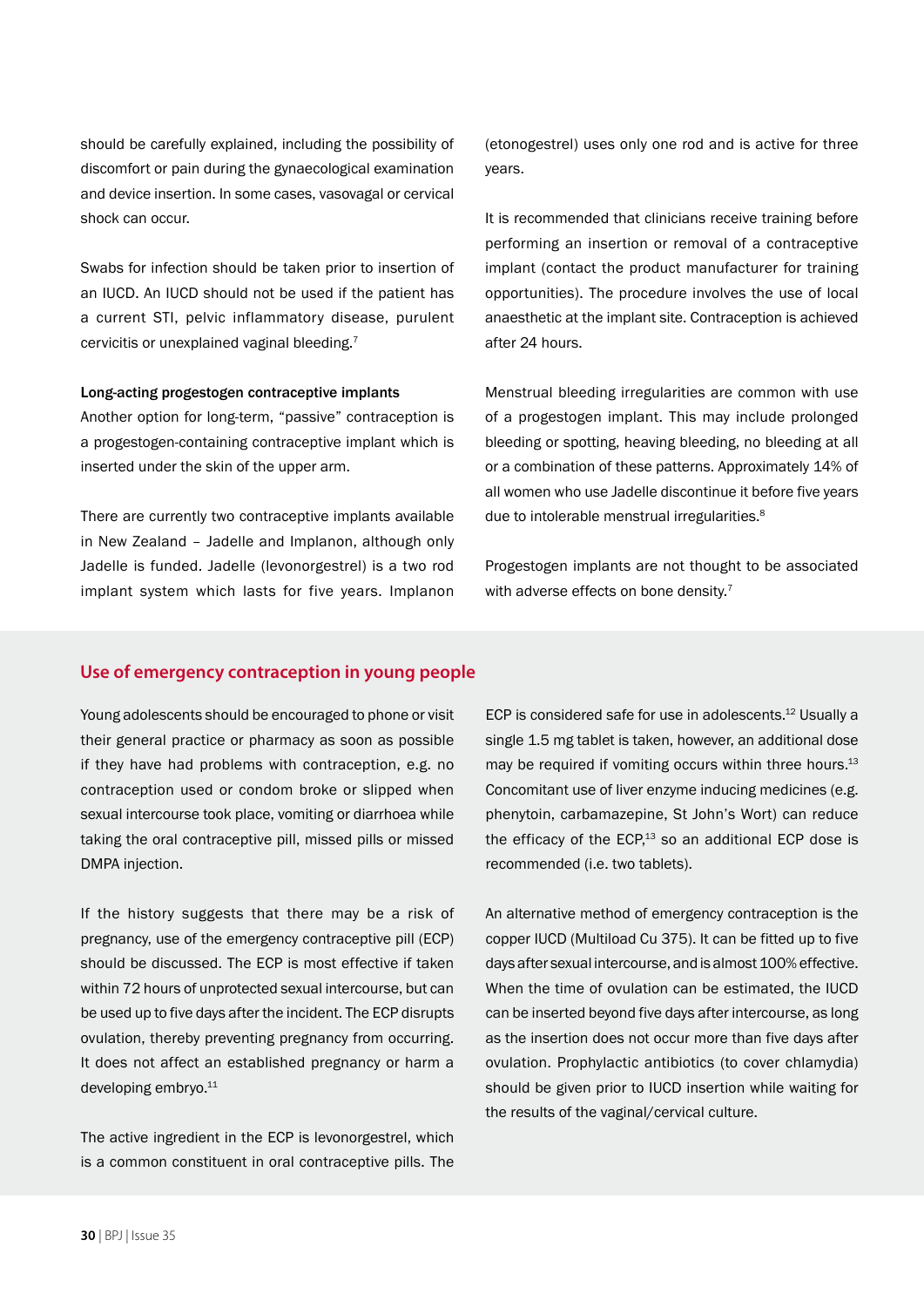should be carefully explained, including the possibility of discomfort or pain during the gynaecological examination and device insertion. In some cases, vasovagal or cervical shock can occur.

Swabs for infection should be taken prior to insertion of an IUCD. An IUCD should not be used if the patient has a current STI, pelvic inflammatory disease, purulent cervicitis or unexplained vaginal bleeding.7

#### Long-acting progestogen contraceptive implants

Another option for long-term, "passive" contraception is a progestogen-containing contraceptive implant which is inserted under the skin of the upper arm.

There are currently two contraceptive implants available in New Zealand – Jadelle and Implanon, although only Jadelle is funded. Jadelle (levonorgestrel) is a two rod implant system which lasts for five years. Implanon

(etonogestrel) uses only one rod and is active for three years.

It is recommended that clinicians receive training before performing an insertion or removal of a contraceptive implant (contact the product manufacturer for training opportunities). The procedure involves the use of local anaesthetic at the implant site. Contraception is achieved after 24 hours.

Menstrual bleeding irregularities are common with use of a progestogen implant. This may include prolonged bleeding or spotting, heaving bleeding, no bleeding at all or a combination of these patterns. Approximately 14% of all women who use Jadelle discontinue it before five years due to intolerable menstrual irregularities.<sup>8</sup>

Progestogen implants are not thought to be associated with adverse effects on bone density.<sup>7</sup>

# **Use of emergency contraception in young people**

Young adolescents should be encouraged to phone or visit their general practice or pharmacy as soon as possible if they have had problems with contraception, e.g. no contraception used or condom broke or slipped when sexual intercourse took place, vomiting or diarrhoea while taking the oral contraceptive pill, missed pills or missed DMPA injection.

If the history suggests that there may be a risk of pregnancy, use of the emergency contraceptive pill (ECP) should be discussed. The ECP is most effective if taken within 72 hours of unprotected sexual intercourse, but can be used up to five days after the incident. The ECP disrupts ovulation, thereby preventing pregnancy from occurring. It does not affect an established pregnancy or harm a developing embryo.<sup>11</sup>

The active ingredient in the ECP is levonorgestrel, which is a common constituent in oral contraceptive pills. The ECP is considered safe for use in adolescents.<sup>12</sup> Usually a single 1.5 mg tablet is taken, however, an additional dose may be required if vomiting occurs within three hours. $^{13}$ Concomitant use of liver enzyme inducing medicines (e.g. phenytoin, carbamazepine, St John's Wort) can reduce the efficacy of the ECP, $13$  so an additional ECP dose is recommended (i.e. two tablets).

An alternative method of emergency contraception is the copper IUCD (Multiload Cu 375). It can be fitted up to five days after sexual intercourse, and is almost 100% effective. When the time of ovulation can be estimated, the IUCD can be inserted beyond five days after intercourse, as long as the insertion does not occur more than five days after ovulation. Prophylactic antibiotics (to cover chlamydia) should be given prior to IUCD insertion while waiting for the results of the vaginal/cervical culture.